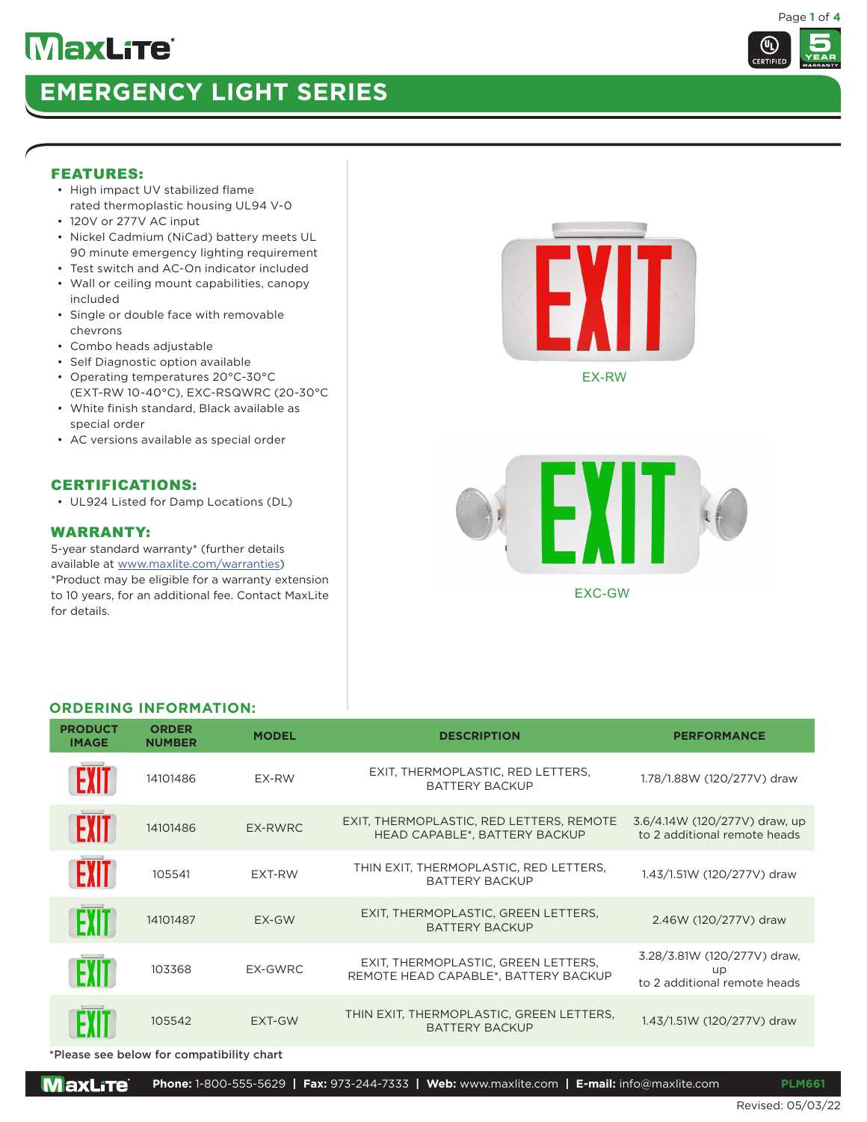# **EMERGENCY LIGHT SERIES**

#### FEATURES:

- High impact UV stabilized flame rated thermoplastic housing UL94 V-0
- 120V or 277V AC input
- Nickel Cadmium (NiCad) battery meets UL 90 minute emergency lighting requirement
- Test switch and AC-On indicator included
- Wall or ceiling mount capabilities, canopy included
- Single or double face with removable chevrons
- Combo heads adjustable
- Self Diagnostic option available
- Operating temperatures 20°C-30°C (EXT-RW 10-40°C), EXC-RSQWRC (20-30°C
- White finish standard, Black available as special order
- AC versions available as special order

## CERTIFICATIONS:

• UL924 Listed for Damp Locations (DL)

## WARRANTY:

5-year standard warranty\* (further details available at www.maxlite.com/warranties) \*Product may be eligible for a warranty extension to 10 years, for an additional fee. Contact MaxLite for details.



EX-RW



#### **ORDERING INFORMATION:**

| <b>PRODUCT</b><br><b>IMAGE</b> | <b>ORDER</b><br><b>NUMBER</b> | <b>MODEL</b> | <b>DESCRIPTION</b>                                                          | <b>PERFORMANCE</b>                                                |  |
|--------------------------------|-------------------------------|--------------|-----------------------------------------------------------------------------|-------------------------------------------------------------------|--|
|                                | 14101486                      | EX-RW        | EXIT, THERMOPLASTIC, RED LETTERS,<br><b>BATTERY BACKUP</b>                  | 1.78/1.88W (120/277V) draw                                        |  |
| <b>EXIT</b>                    | 14101486                      | EX-RWRC      | EXIT, THERMOPLASTIC, RED LETTERS, REMOTE<br>HEAD CAPABLE*, BATTERY BACKUP   | 3.6/4.14W (120/277V) draw, up<br>to 2 additional remote heads     |  |
| <b>FXIT</b>                    | 105541                        | EXT-RW       | THIN EXIT, THERMOPLASTIC, RED LETTERS,<br><b>BATTERY BACKUP</b>             | 1.43/1.51W (120/277V) draw                                        |  |
|                                | 14101487                      | EX-GW        | EXIT, THERMOPLASTIC, GREEN LETTERS,<br><b>BATTERY BACKUP</b>                | 2.46W (120/277V) draw                                             |  |
| EШ                             | 103368                        | EX-GWRC      | EXIT, THERMOPLASTIC, GREEN LETTERS,<br>REMOTE HEAD CAPABLE*, BATTERY BACKUP | 3.28/3.81W (120/277V) draw,<br>up<br>to 2 additional remote heads |  |
|                                | 105542                        | EXT-GW       | THIN EXIT, THERMOPLASTIC, GREEN LETTERS,<br><b>BATTERY BACKUP</b>           | 1.43/1.51W (120/277V) draw                                        |  |

\*Please see below for compatibility chart



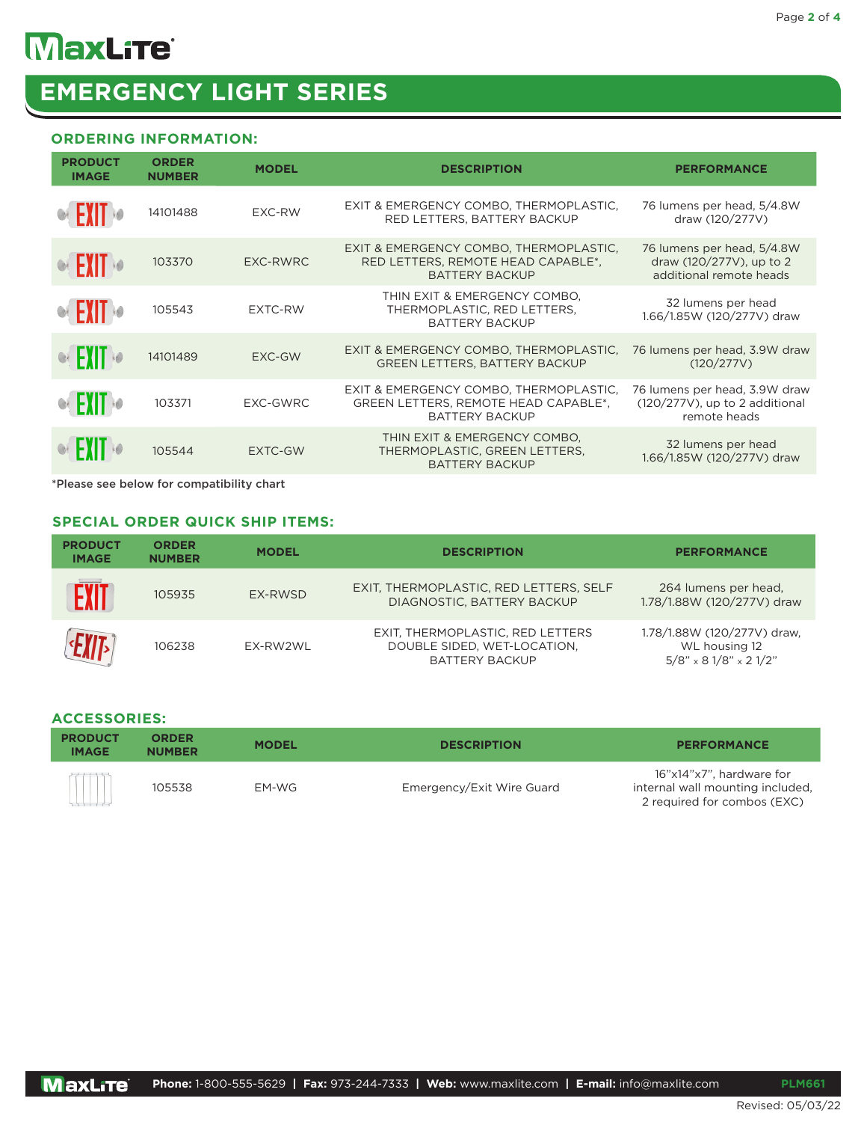### **ORDERING INFORMATION:**

| <b>PRODUCT</b><br><b>IMAGE</b> | <b>ORDER</b><br><b>NUMBER</b> | <b>MODEL</b>   | <b>DESCRIPTION</b>                                                                                      | <b>PERFORMANCE</b>                                                                 |  |
|--------------------------------|-------------------------------|----------------|---------------------------------------------------------------------------------------------------------|------------------------------------------------------------------------------------|--|
| <b>OF EXIT OF</b>              | 14101488                      | EXC-RW         | EXIT & EMERGENCY COMBO, THERMOPLASTIC,<br>RED LETTERS, BATTERY BACKUP                                   | 76 lumens per head, 5/4.8W<br>draw (120/277V)                                      |  |
| <b>CEXIT OF</b>                | 103370                        | EXC-RWRC       | EXIT & EMERGENCY COMBO, THERMOPLASTIC,<br>RED LETTERS, REMOTE HEAD CAPABLE*,<br><b>BATTERY BACKUP</b>   | 76 lumens per head, 5/4.8W<br>draw (120/277V), up to 2<br>additional remote heads  |  |
| <b>CEXIT</b>                   | 105543                        | EXTC-RW        | THIN EXIT & EMERGENCY COMBO,<br>THERMOPLASTIC, RED LETTERS,<br><b>BATTERY BACKUP</b>                    | 32 lumens per head<br>1.66/1.85W (120/277V) draw                                   |  |
| R FYIT RO                      | 14101489                      | <b>EXC-GW</b>  | EXIT & EMERGENCY COMBO, THERMOPLASTIC,<br><b>GREEN LETTERS. BATTERY BACKUP</b>                          | 76 lumens per head, 3.9W draw<br>(120/277V)                                        |  |
| <b>OF FXIT 10</b>              | 103371                        | EXC-GWRC       | EXIT & EMERGENCY COMBO, THERMOPLASTIC,<br>GREEN LETTERS, REMOTE HEAD CAPABLE*,<br><b>BATTERY BACKUP</b> | 76 lumens per head, 3.9W draw<br>$(120/277V)$ , up to 2 additional<br>remote heads |  |
|                                | 105544                        | <b>EXTC-GW</b> | THIN EXIT & EMERGENCY COMBO,<br>THERMOPLASTIC, GREEN LETTERS,<br><b>BATTERY BACKUP</b>                  | 32 lumens per head<br>1.66/1.85W (120/277V) draw                                   |  |
|                                |                               |                |                                                                                                         |                                                                                    |  |

\*Please see below for compatibility chart

#### **SPECIAL ORDER QUICK SHIP ITEMS:**

| <b>PRODUCT</b><br><b>IMAGE</b> | <b>ORDER</b><br><b>NUMBER</b> | <b>MODEL</b> | <b>DESCRIPTION</b>                                                                       | <b>PERFORMANCE</b>                                                        |  |
|--------------------------------|-------------------------------|--------------|------------------------------------------------------------------------------------------|---------------------------------------------------------------------------|--|
| <b>EXIT</b>                    | 105935                        | EX-RWSD      | EXIT, THERMOPLASTIC, RED LETTERS, SELF<br>DIAGNOSTIC, BATTERY BACKUP                     | 264 lumens per head,<br>1.78/1.88W (120/277V) draw                        |  |
|                                | 106238                        | EX-RW2WL     | EXIT, THERMOPLASTIC, RED LETTERS<br>DOUBLE SIDED, WET-LOCATION,<br><b>BATTERY BACKUP</b> | 1.78/1.88W (120/277V) draw,<br>WL housing 12<br>$5/8$ " x 8 1/8" x 2 1/2" |  |

#### **ACCESSORIES:**

| <b>PRODUCT</b><br><b>IMAGE</b> | <b>ORDER</b><br><b>MODEL</b><br><b>NUMBER</b> |       | <b>DESCRIPTION</b>        | <b>PERFORMANCE</b>                                                                          |
|--------------------------------|-----------------------------------------------|-------|---------------------------|---------------------------------------------------------------------------------------------|
|                                | 105538                                        | EM-WG | Emergency/Exit Wire Guard | 16"x14"x7", hardware for<br>internal wall mounting included.<br>2 required for combos (EXC) |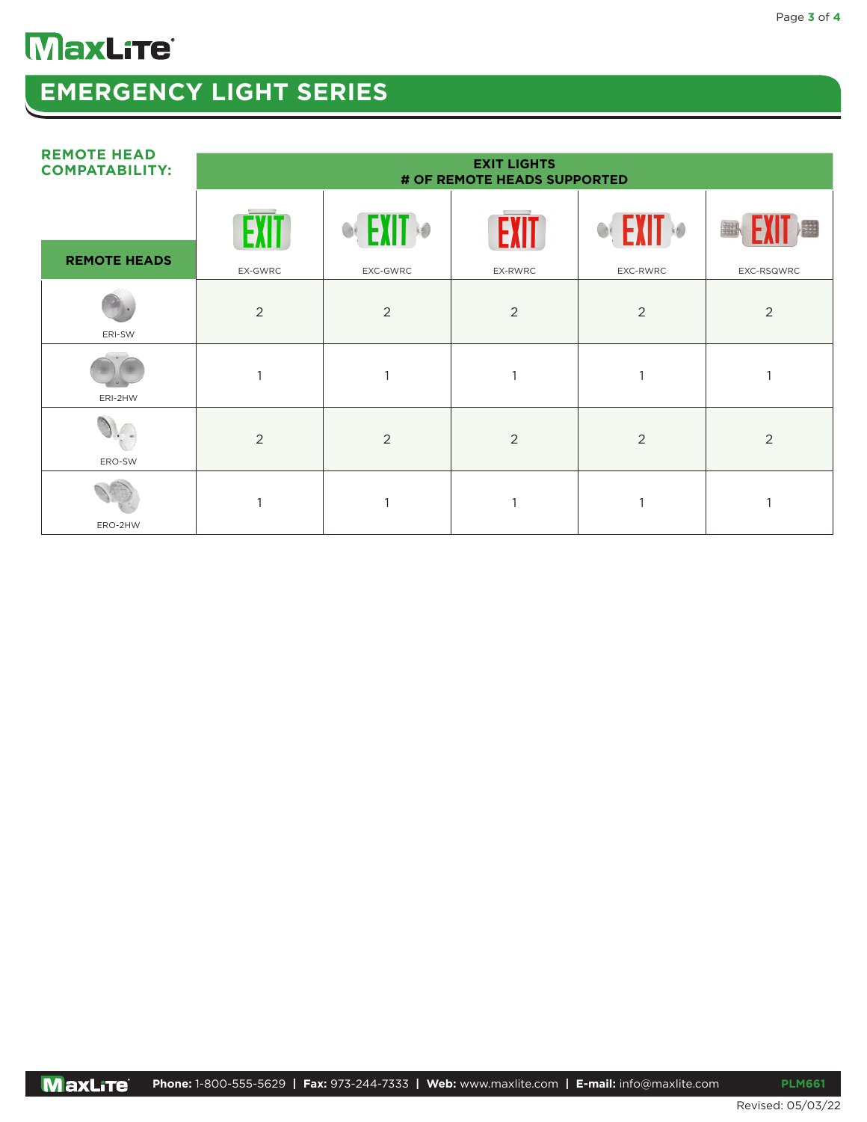# **EMERGENCY LIGHT SERIES**

| <b>REMOTE HEAD</b><br><b>COMPATABILITY:</b> | <b>EXIT LIGHTS</b><br># OF REMOTE HEADS SUPPORTED |                   |         |                    |            |
|---------------------------------------------|---------------------------------------------------|-------------------|---------|--------------------|------------|
| <b>REMOTE HEADS</b>                         | $\mathbf{F}$                                      | <b>EXIT &amp;</b> | EXIT    | <b>CEXIT &amp;</b> | EXIT<br>用  |
|                                             | EX-GWRC                                           | EXC-GWRC          | EX-RWRC | EXC-RWRC           | EXC-RSQWRC |
| ERI-SW                                      | 2                                                 | 2                 | 2       | 2                  | 2          |
| ERI-2HW                                     |                                                   |                   | 1       |                    |            |
| ERO-SW                                      | $\overline{2}$                                    | 2                 | 2       | 2                  | 2          |
| ERO-2HW                                     |                                                   |                   |         |                    |            |